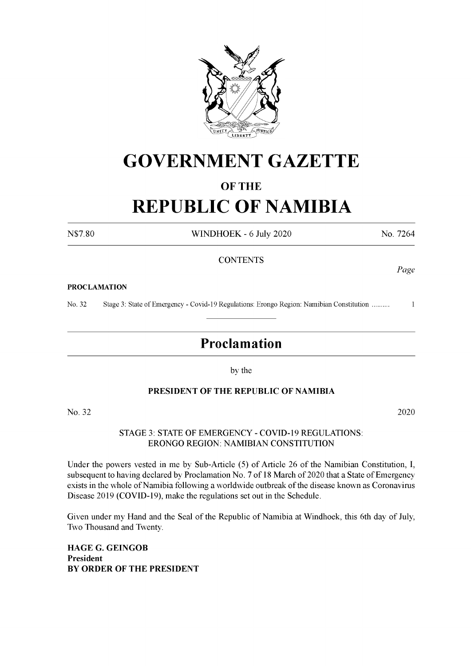

## **GOVERNMENT GAZETTE**

#### **OF THE**

# **REPUBLIC OF NAMIBIA**

N\$7.80 WINDHOEK - 6 July 2020 No. 7264

*Page*

#### **CONTENTS**

#### **PROCLAMATION**

No. 32 Stage 3: State ofEmergency - Covid-19 Regulations: Erongo Region: Namibian Constitution ......... <sup>1</sup>

### **Proclamation**

by the

#### **PRESIDENT OF THE REPUBLIC OF NAMIBIA**

No. 32 2020

STAGE 3: STATE OF EMERGENCY - COVID-19 REGULATIONS: ERONGO REGION: NAMIBIAN CONSTITUTION

Under the powers vested in me by Sub-Article (5) of Article 26 of the Namibian Constitution, I, subsequent to having declared by Proclamation No. 7 of 18 March of 2020 that a State of Emergency exists in the whole of Namibia following a worldwide outbreak of the disease known as Coronavirus Disease 2019 (COVID-19), make the regulations set out in the Schedule.

Given under my Hand and the Seal of the Republic of Namibia at Windhoek, this 6th day of July, Two Thousand and Twenty.

**HAGE G. GEINGOB President BY ORDER OF THE PRESIDENT**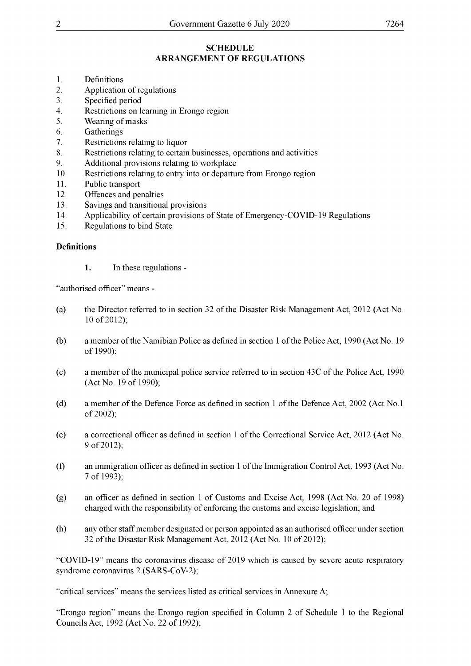#### **SCHEDULE ARRANGEMENT OF REGULATIONS**

- 1. Definitions
- 2. Application of regulations
- 3. Specified period
- 4. Restrictions on learning in Erongo region
- 5. Wearing ofmasks
- 6. Gatherings
- 7. Restrictions relating to liquor
- 8. Restrictions relating to certain businesses, operations and activities
- 9. Additional provisions relating to workplace
- 10. Restrictions relating to entry into or departure from Erongo region
- 11. Public transport
- 12. Offences and penalties
- 13. Savings and transitional provisions
- 14. Applicability of certain provisions of State of Emergency-COVID-19 Regulations
- 15. Regulations to bind State

#### **Definitions**

**1.** In these regulations -

"authorised officer" means -

- (a) the Director referred to in section 32 ofthe Disaster Risk Management Act, 2012 (Act No. 10 of 2012);
- (b) a member ofthe Namibian Police as defined in section <sup>1</sup> ofthe Police Act, 1990 (Act No. 19 of 1990);
- (c) a member of the municipal police service referred to in section  $43C$  of the Police Act, 1990 (Act No. 19 of 1990);
- (d) a member of the Defence Force as defined in section 1 of the Defence Act, 2002 (Act No.1) of 2002);
- (e) a correctional officer as defined in section <sup>1</sup> ofthe Correctional Service Act, 2012 (Act No. 9 of 2012);
- (f) an immigration officer as defined in section <sup>1</sup> ofthe Immigration Control Act, 1993 (Act No. 7 of 1993);
- (g) an officer as defined in section <sup>1</sup> of Customs and Excise Act, 1998 (Act No. 20 of 1998) charged with the responsibility of enforcing the customs and excise legislation; and
- (h) any other staffmember designated or person appointed as an authorised officer under section 32 of the Disaster Risk Management Act, 2012 (Act No. 10 of 2012);

"COVID-19" means the coronavirus disease of 2019 which is caused by severe acute respiratory syndrome coronavirus 2 (SARS-CoV-2);

"Erongo region" means the Erongo region specified in Column 2 of Schedule <sup>1</sup> to the Regional Councils Act, 1992 (Act No. 22 of 1992);

<sup>&</sup>quot;critical services" means the services listed as critical services in Annexure A;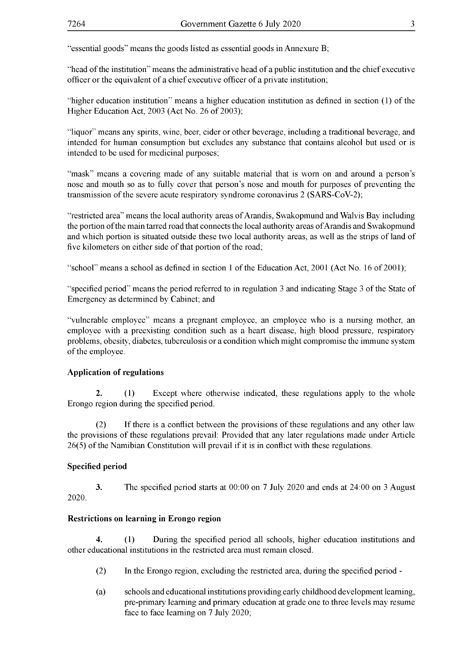"essential goods" means the goods listed as essential goods in Annexure B;

"head ofthe institution" means the administrative head of a public institution and the chief executive officer or the equivalent of a chief executive officer of a private institution;

"higher education institution" means a higher education institution as defined in section (1) ofthe Higher Education Act, 2003 (Act No. 26 of 2003);

"liquor" means any spirits, wine, beer, cider or other beverage, including a traditional beverage, and intended for human consumption but excludes any substance that contains alcohol but used or is intended to be used for medicinal purposes;

"mask" means a covering made of any suitable material that is worn on and around a person's nose and mouth so as to fully cover that person's nose and mouth for purposes of preventing the transmission of the severe acute respiratory syndrome coronavirus 2 (SARS-CoV-2);

"restricted area" means the local authority areas of Arandis, Swakopmund and Walvis Bay including the portion of the main tarred road that connects the local authority areas of Arandis and Swakopmund and which portion is situated outside these two local authority areas, as well as the strips of land of five kilometers on either side of that portion of the road;

"school" means a school as defined in section 1 of the Education Act, 2001 (Act No. 16 of 2001);

"specified period" means the period referred to in regulation 3 and indicating Stage 3 of the State of Emergency as determined by Cabinet; and

"vulnerable employee" means a pregnant employee, an employee who is a nursing mother, an employee with a preexisting condition such as a heart disease, high blood pressure, respiratory problems, obesity, diabetes, tuberculosis or a condition which might compromise the immune system of the employee.

#### **Application of regulations**

**2.** (1) Except where otherwise indicated, these regulations apply to the whole Erongo region during the specified period.

(2) If there is a conflict between the provisions of these regulations and any other law the provisions of these regulations prevail: Provided that any later regulations made under Article 26(5) of the Namibian Constitution will prevail if it is in conflict with these regulations.

#### **Specified period**

**3.** The specified period starts at 00:00 on 7 July 2020 and ends at 24:00 on 3 August 2020.

#### **Restrictions on learning in Erongo region**

**4.** (1) During the specified period all schools, higher education institutions and other educational institutions in the restricted area must remain closed.

- (2) In the Erongo region, excluding the restricted area, during the specified period -
- (a) schools and educational institutions providing early childhood development learning, pre-primary learning and primary education at grade one to three levels may resume face to face learning on 7 July 2020;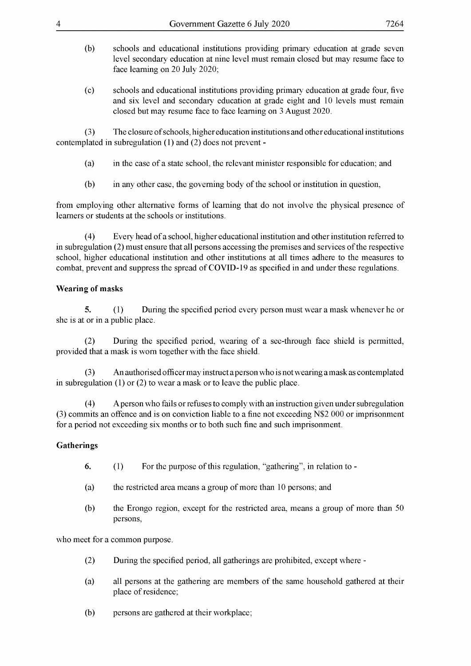- (b) schools and educational institutions providing primary education at grade seven level secondary education at nine level must remain closed but may resume face to face learning on 20 July 2020;
- (c) schools and educational institutions providing primary education at grade four, five and six level and secondary education at grade eight and 10 levels must remain closed but may resume face to face learning on 3 August 2020.

(3) The closure ofschools, higher education institutions and other educational institutions contemplated in subregulation (1) and (2) does not prevent -

- (a) in the case of a state school, the relevant minister responsible for education; and
- $(b)$  in any other case, the governing body of the school or institution in question,

from employing other alternative forms of learning that do not involve the physical presence of learners or students at the schools or institutions.

(4) Every head ofa school, higher educational institution and other institution referred to in subregulation (2) must ensure that all persons accessing the premises and services ofthe respective school, higher educational institution and other institutions at all times adhere to the measures to combat, prevent and suppress the spread of COVID-19 as specified in and under these regulations.

#### **Wearing of masks**

**5.** (1) During the specified period every person must wear a mask whenever he or she is at or in a public place.

(2) During the specified period, wearing of a see-through face shield is permitted, provided that a mask is worn together with the face shield.

(3) An authorised officermay instructapersonwho is notwearing amask as contemplated in subregulation (1) or (2) to wear a mask or to leave the public place.

(4) A person who fails or refuses to comply with an instruction given under subregulation (3) commits an offence and is on conviction liable to a fine not exceeding N\$2 000 or imprisonment for a period not exceeding six months or to both such fine and such imprisonment.

#### **Gatherings**

- **6.** (1) For the purpose of this regulation, "gathering", in relation to -
- (a) the restricted area means a group of more than 10 persons; and
- (b) the Erongo region, except for the restricted area, means a group of more than 50 persons,

who meet for a common purpose.

- (2) During the specified period, all gatherings are prohibited, except where -
- (a) all persons at the gathering are members of the same household gathered at their place of residence;
- (b) persons are gathered at their workplace;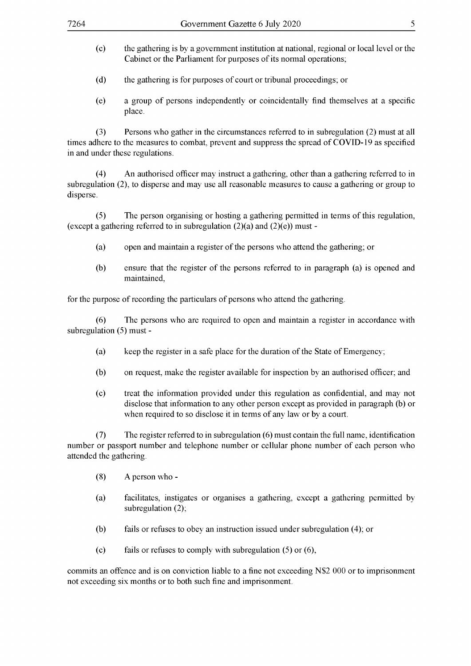- (c) the gathering is by a government institution at national, regional or local level or the Cabinet or the Parliament for purposes of its normal operations;
- (d) the gathering is for purposes of court or tribunal proceedings; or
- (e) a group of persons independently or coincidentally find themselves at a specific place.

(3) Persons who gather in the circumstances referred to in subregulation (2) must at all times adhere to the measures to combat, prevent and suppress the spread of COVID-19 as specified in and under these regulations.

(4) An authorised officer may instruct a gathering, other than a gathering referred to in subregulation (2), to disperse and may use all reasonable measures to cause a gathering or group to disperse.

(5) The person organising or hosting a gathering permitted in terms ofthis regulation, (except a gathering referred to in subregulation  $(2)(a)$  and  $(2)(e)$ ) must -

- (a) open and maintain a register of the persons who attend the gathering; or
- (b) ensure that the register of the persons referred to in paragraph (a) is opened and maintained,

for the purpose of recording the particulars of persons who attend the gathering.

(6) The persons who are required to open and maintain a register in accordance with subregulation (5) must -

- (a) keep the register in a safe place for the duration of the State of Emergency;
- (b) on request, make the register available for inspection by an authorised officer; and
- (c) treat the information provided under this regulation as confidential, and may not disclose that information to any other person except as provided in paragraph (b) or when required to so disclose it in terms of any law or by a court.

(7) The register referred to in subregulation (6) must contain the full name, identification number or passport number and telephone number or cellular phone number of each person who attended the gathering.

- (8) A person who -
- (a) facilitates, instigates or organises a gathering, except a gathering permitted by subregulation  $(2)$ ;
- (b) fails or refuses to obey an instruction issued under subregulation (4); or
- (c) fails or refuses to comply with subregulation (5) or (6),

commits an offence and is on conviction liable to a fine not exceeding N\$2 000 or to imprisonment not exceeding six months or to both such fine and imprisonment.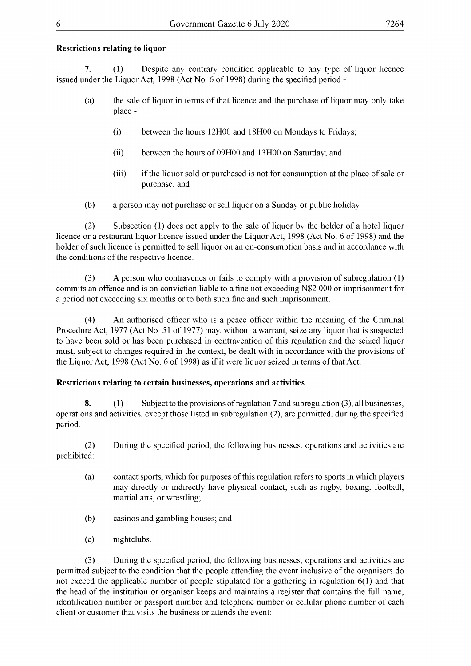#### **Restrictions relating to liquor**

**7.** (1) Despite any contrary condition applicable to any type of liquor licence issued under the Liquor Act, 1998 (Act No. 6 of 1998) during the specified period -

- (a) the sale of liquor in terms ofthat licence and the purchase of liquor may only take place -
	- (i) between the hours 12H00 and 18H00 on Mondays to Fridays;
	- (ii) between the hours of 09H00 and 13H00 on Saturday; and
	- (iii) ifthe liquor sold or purchased is not for consumption at the place ofsale or purchase; and
- (b) a person may not purchase or sell liquor on a Sunday or public holiday.

(2) Subsection (1) does not apply to the sale of liquor by the holder of a hotel liquor licence or a restaurant liquor licence issued under the Liquor Act, 1998 (Act No. 6 of 1998) and the holder of such licence is permitted to sell liquor on an on-consumption basis and in accordance with the conditions of the respective licence.

(3) A person who contravenes or fails to comply with a provision of subregulation (1) commits an offence and is on conviction liable to a fine not exceeding N\$2 000 or imprisonment for a period not exceeding six months or to both such fine and such imprisonment.

(4) An authorised officer who is a peace officer within the meaning of the Criminal Procedure Act, 1977 (Act No. 51 of 1977) may, without a warrant, seize any liquor that is suspected to have been sold or has been purchased in contravention of this regulation and the seized liquor must, subject to changes required in the context, be dealt with in accordance with the provisions of the Liquor Act, 1998 (Act No. 6 of 1998) as if it were liquor seized in terms of that Act.

#### **Restrictions relating to certain businesses, operations and activities**

**8.** (1) Subject to the provisions of regulation 7 and subregulation (3), all businesses, operations and activities, except those listed in subregulation (2), are permitted, during the specified period.

(2) During the specified period, the following businesses, operations and activities are prohibited:

- (a) contact sports, which for purposes ofthis regulation refersto sports in which players may directly or indirectly have physical contact, such as rugby, boxing, football, martial arts, or wrestling;
- (b) casinos and gambling houses; and
- (c) nightclubs.

(3) During the specified period, the following businesses, operations and activities are permitted subject to the condition that the people attending the event inclusive ofthe organisers do not exceed the applicable number of people stipulated for a gathering in regulation 6(1) and that the head of the institution or organiser keeps and maintains a register that contains the full name, identification number or passport number and telephone number or cellular phone number of each client or customer that visits the business or attends the event: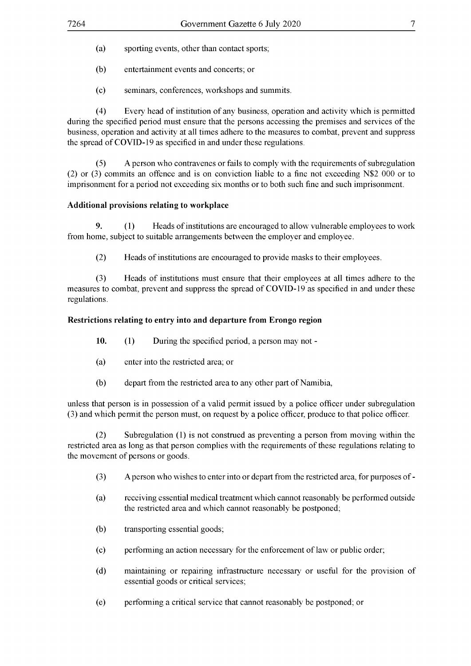- (a) sporting events, other than contact sports;
- (b) entertainment events and concerts; or
- (c) seminars, conferences, workshops and summits.

(4) Every head of institution of any business, operation and activity which is permitted during the specified period must ensure that the persons accessing the premises and services of the business, operation and activity at all times adhere to the measures to combat, prevent and suppress the spread of COVID-19 as specified in and under these regulations.

(5) A person who contravenes or fails to comply with the requirements of subregulation (2) or (3) commits an offence and is on conviction liable to a fine not exceeding N\$2 000 or to imprisonment for a period not exceeding six months or to both such fine and such imprisonment.

#### **Additional provisions relating to workplace**

**9.** (1) Heads ofinstitutions are encouraged to allow vulnerable employees to work from home, subject to suitable arrangements between the employer and employee.

(2) Heads of institutions are encouraged to provide masks to their employees.

(3) Heads of institutions must ensure that their employees at all times adhere to the measures to combat, prevent and suppress the spread of COVID-19 as specified in and under these regulations.

#### **Restrictions relating to entry into and departure from Erongo region**

**10.** (1) During the specified period, a person may not -

- (a) enter into the restricted area; or
- (b) depart from the restricted area to any other part of Namibia,

unless that person is in possession of a valid permit issued by a police officer under subregulation (3) and which permit the person must, on request by a police officer, produce to that police officer.

(2) Subregulation (1) is not construed as preventing a person from moving within the restricted area as long as that person complies with the requirements of these regulations relating to the movement of persons or goods.

- (3) Aperson who wishesto enterinto or depart from the restricted area, for purposes of-
- (a) receiving essential medical treatment which cannot reasonably be performed outside the restricted area and which cannot reasonably be postponed;
- (b) transporting essential goods;
- (c) performing an action necessary for the enforcement oflaw or public order;
- (d) maintaining or repairing infrastructure necessary or useful for the provision of essential goods or critical services;
- (e) performing a critical service that cannot reasonably be postponed; or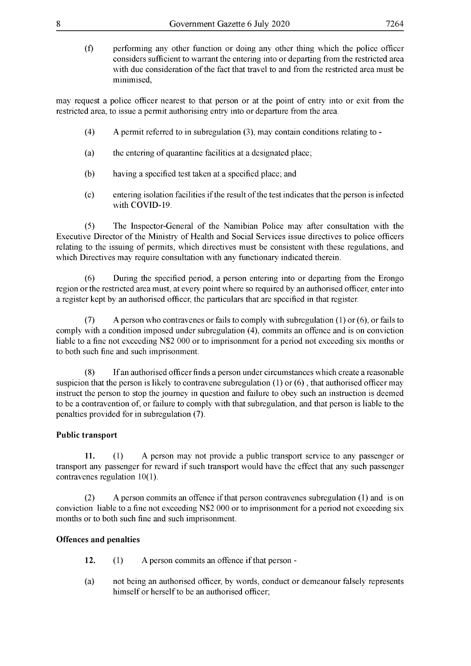(f) performing any other function or doing any other thing which the police officer considers sufficient to warrant the entering into or departing from the restricted area with due consideration of the fact that travel to and from the restricted area must be minimised,

may request a police officer nearest to that person or at the point of entry into or exit from the restricted area, to issue a permit authorising entry into or departure from the area.

- (4) A permit referred to in subregulation (3), may contain conditions relating to -
- (a) the entering of quarantine facilities at a designated place;
- (b) having a specified test taken at a specified place; and
- (c) entering isolation facilities if the result of the test indicates that the person is infected with COVID-19.

(5) The Inspector-General of the Namibian Police may after consultation with the Executive Director of the Ministry of Health and Social Services issue directives to police officers relating to the issuing of permits, which directives must be consistent with these regulations, and which Directives may require consultation with any functionary indicated therein.

(6) During the specified period, a person entering into or departing from the Erongo region orthe restricted area must, at every point where so required by an authorised officer, enter into a register kept by an authorised officer, the particulars that are specified in that register.

(7) A person who contravenes or fails to comply with subregulation (1) or (6), or fails to comply with a condition imposed under subregulation (4), commits an offence and is on conviction liable to a fine not exceeding N\$2 000 or to imprisonment for a period not exceeding six months or to both such fine and such imprisonment.

(8) Ifan authorised officerfinds a person under circumstances which create a reasonable suspicion that the person is likely to contravene subregulation (1) or (6) , that authorised officer may instruct the person to stop the journey in question and failure to obey such an instruction is deemed to be a contravention of, or failure to comply with that subregulation, and that person is liable to the penalties provided for in subregulation (7).

#### **Public transport**

**11.** (1) A person may not provide a public transport service to any passenger or transport any passenger for reward if such transport would have the effect that any such passenger contravenes regulation 10(1).

(2) A person commits an offence ifthat person contravenes subregulation (1) and is on conviction liable to a fine not exceeding N\$2 000 or to imprisonment for a period not exceeding six months or to both such fine and such imprisonment.

#### **Offences and penalties**

- **12.** (1) A person commits an offence if that person -
- (a) not being an authorised officer, by words, conduct or demeanour falsely represents himself or herself to be an authorised officer;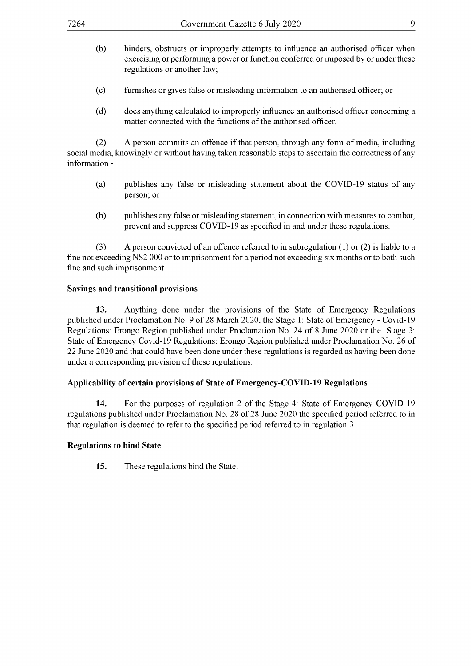- (b) hinders, obstructs or improperly attempts to influence an authorised officer when exercising or performing a power or function conferred or imposed by or under these regulations or another law;
- (c) furnishes or gives false or misleading information to an authorised officer; or
- (d) does anything calculated to improperly influence an authorised officer concerning a matter connected with the functions of the authorised officer.

(2) A person commits an offence if that person, through any form of media, including social media, knowingly or without having taken reasonable steps to ascertain the correctness of any information -

- (a) publishes any false or misleading statement about the COVID-19 status of any person; or
- (b) publishes any false or misleading statement, in connection with measures to combat, prevent and suppress COVID-19 as specified in and under these regulations.

(3) A person convicted of an offence referred to in subregulation (1) or (2) is liable to a fine not exceeding N\$2 000 or to imprisonment for a period not exceeding six months or to both such fine and such imprisonment.

#### **Savings and transitional provisions**

**13.** Anything done under the provisions of the State of Emergency Regulations published under Proclamation No. 9 of 28 March 2020, the Stage 1: State of Emergency - Covid-19 Regulations: Erongo Region published under Proclamation No. 24 of <sup>8</sup> June 2020 or the Stage 3: State of Emergency Covid-19 Regulations: Erongo Region published under Proclamation No. 26 of 22 June 2020 and that could have been done under these regulations is regarded as having been done under a corresponding provision of these regulations.

#### **Applicability of certain provisions of State of Emergency-COVID-19 Regulations**

**14.** For the purposes of regulation 2 of the Stage 4: State of Emergency COVID-19 regulations published under Proclamation No. 28 of 28 June 2020 the specified period referred to in that regulation is deemed to refer to the specified period referred to in regulation 3.

#### **Regulations to bind State**

**15.** These regulations bind the State.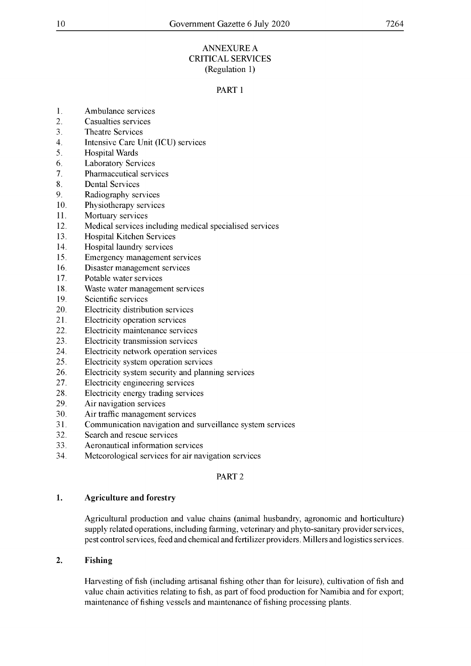#### ANNEXUREA CRITICAL SERVICES (Regulation 1)

#### PART <sup>1</sup>

- 1. Ambulance services
- 2. Casualties services
- 3. Theatre Services
- 4. Intensive Care Unit (ICU) services
- 5. Hospital Wards
- 6. Laboratory Services
- 7. Pharmaceutical services
- 8. Dental Services
- 9. Radiography services
- 10. Physiotherapy services
- 11. Mortuary services
- 12. Medical services including medical specialised services
- 13. Hospital Kitchen Services
- 14. Hospital laundry services
- 15. Emergency management services
- 16. Disaster management services
- 17. Potable water services
- 18. Waste water management services
- 19. Scientific services
- 20. Electricity distribution services
- 21. Electricity operation services
- 22. Electricity maintenance services
- 23. Electricity transmission services
- 24. Electricity network operation services
- 25. Electricity system operation services
- 26. Electricity system security and planning services
- 27. Electricity engineering services
- 28. Electricity energy trading services
- 29. Air navigation services
- 30. Air traffic management services
- 31. Communication navigation and surveillance system services
- 32. Search and rescue services
- 33. Aeronautical information services
- 34. Meteorological services for air navigation services

#### PART 2

#### **1. Agriculture and forestry**

Agricultural production and value chains (animal husbandry, agronomic and horticulture) supply related operations, including farming, veterinary and phyto-sanitary provider services, pest control services, feed and chemical and fertilizer providers. Millers and logistics services.

#### **2. Fishing**

Harvesting offish (including artisanal fishing other than for leisure), cultivation offish and value chain activities relating to fish, as part of food production for Namibia and for export; maintenance of fishing vessels and maintenance of fishing processing plants.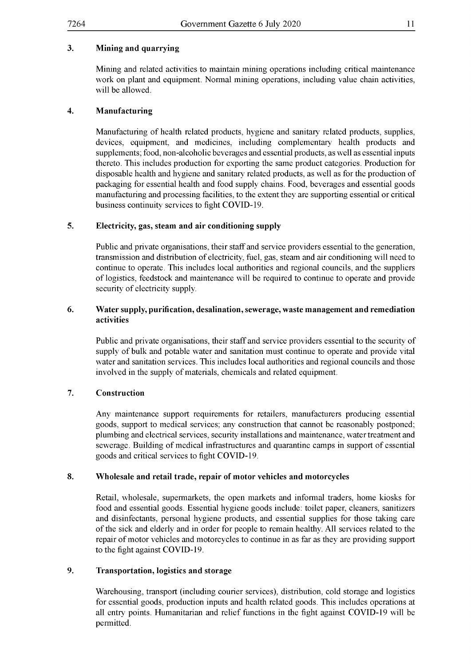Mining and related activities to maintain mining operations including critical maintenance work on plant and equipment. Normal mining operations, including value chain activities, will be allowed.

#### **4. Manufacturing**

Manufacturing of health related products, hygiene and sanitary related products, supplies, devices, equipment, and medicines, including complementary health products and supplements; food, non-alcoholic beverages and essential products, as well as essential inputs thereto. This includes production for exporting the same product categories. Production for disposable health and hygiene and sanitary related products, as well as for the production of packaging for essential health and food supply chains. Food, beverages and essential goods manufacturing and processing facilities, to the extent they are supporting essential or critical business continuity services to fight COVID-19.

#### **5. Electricity, gas, steam and air conditioning supply**

Public and private organisations, their staff and service providers essential to the generation, transmission and distribution of electricity, fuel, gas, steam and air conditioning will need to continue to operate. This includes local authorities and regional councils, and the suppliers oflogistics, feedstock and maintenance will be required to continue to operate and provide security of electricity supply.

#### **6. Water supply, purification, desalination, sewerage, waste management and remediation activities**

Public and private organisations, their staff and service providers essential to the security of supply of bulk and potable water and sanitation must continue to operate and provide vital water and sanitation services. This includes local authorities and regional councils and those involved in the supply of materials, chemicals and related equipment.

#### **7. Construction**

Any maintenance support requirements for retailers, manufacturers producing essential goods, support to medical services; any construction that cannot be reasonably postponed; plumbing and electrical services, security installations and maintenance, water treatment and sewerage. Building of medical infrastructures and quarantine camps in support of essential goods and critical services to fight COVID-19.

#### **8. Wholesale and retail trade, repair of motor vehicles and motorcycles**

Retail, wholesale, supermarkets, the open markets and informal traders, home kiosks for food and essential goods. Essential hygiene goods include: toilet paper, cleaners, sanitizers and disinfectants, personal hygiene products, and essential supplies for those taking care ofthe sick and elderly and in order for people to remain healthy. All services related to the repair of motor vehicles and motorcycles to continue in as far as they are providing support to the fight against COVID-19.

#### **9. Transportation, logistics and storage**

Warehousing, transport (including courier services), distribution, cold storage and logistics for essential goods, production inputs and health related goods. This includes operations at all entry points. Humanitarian and relief functions in the fight against COVID-19 will be permitted.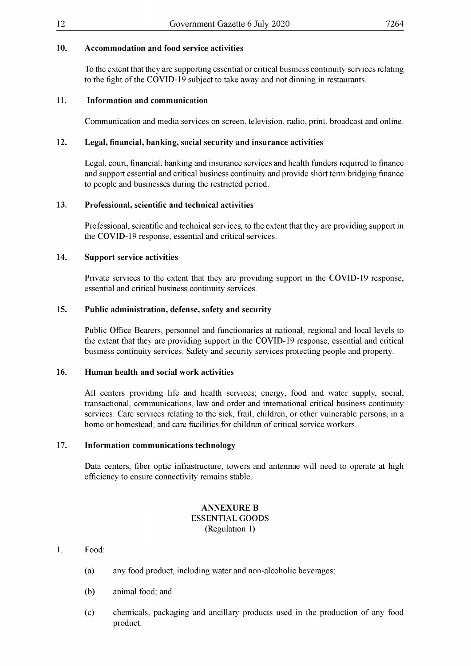#### **10. Accommodation and food service activities**

To the extent that they are supporting essential or critical business continuity services relating to the fight of the COVID-19 subject to take away and not dinning in restaurants.

#### **11. Information and communication**

Communication and media services on screen, television, radio, print, broadcast and online.

#### **12. Legal, financial, banking, social security and insurance activities**

Legal, court, financial, banking and insurance services and health funders required to finance and support essential and critical business continuity and provide short term bridging finance to people and businesses during the restricted period.

#### **13. Professional, scientific and technical activities**

Professional, scientific and technical services, to the extent thatthey are providing support in the COVID-19 response, essential and critical services.

#### **14. Support service activities**

Private services to the extent that they are providing support in the COVID-19 response, essential and critical business continuity services.

#### **15. Public administration, defense, safety and security**

Public Office Bearers, personnel and functionaries at national, regional and local levels to the extent that they are providing support in the COVID-19 response, essential and critical business continuity services. Safety and security services protecting people and property.

#### **16. Human health and social work activities**

All centers providing life and health services; energy, food and water supply, social, transactional, communications, law and order and international critical business continuity services. Care services relating to the sick, frail, children, or other vulnerable persons, in a home or homestead; and care facilities for children of critical service workers.

#### **17. Information communications technology**

Data centers, fiber optic infrastructure, towers and antennae will need to operate at high efficiency to ensure connectivity remains stable.

#### **ANNEXURE B** ESSENTIAL GOODS (Regulation 1)

#### 1. Food:

- (a) any food product, including water and non-alcoholic beverages;
- (b) animal food; and
- (c) chemicals, packaging and ancillary products used in the production of any food product.